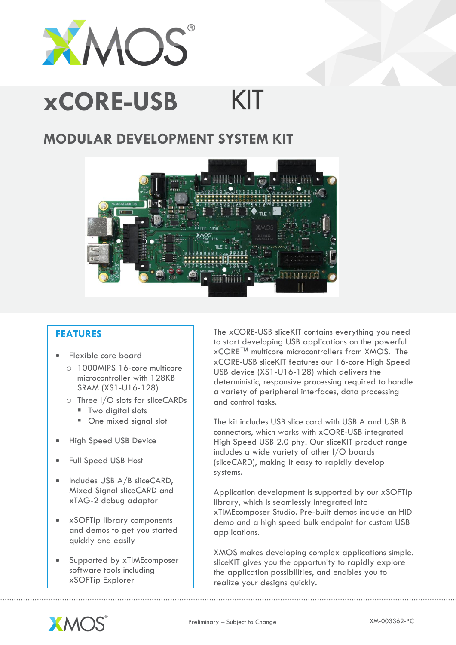

## **xCORE-USB**KIT

# **MODULAR DEVELOPMENT SYSTEM KIT**



## **FEATURES**

- Flexible core board
	- o 1000MIPS 16-core multicore microcontroller with 128KB SRAM (XS1-U16-128)
	- o Three I/O slots for sliceCARDs
		- **Two digital slots**
		- One mixed signal slot
- High Speed USB Device
- Full Speed USB Host
- $\bullet$  Includes USB  $A/B$  sliceCARD, Mixed Signal sliceCARD and xTAG-2 debug adaptor
- xSOFTip library components and demos to get you started quickly and easily
- Supported by xTIMEcomposer software tools including xSOFTip Explorer

The xCORE-USB sliceKIT contains everything you need to start developing USB applications on the powerful xCORE™ multicore microcontrollers from XMOS. The xCORE-USB sliceKIT features our 16-core High Speed USB device (XS1-U16-128) which delivers the deterministic, responsive processing required to handle a variety of peripheral interfaces, data processing and control tasks.

The kit includes USB slice card with USB A and USB B connectors, which works with xCORE-USB integrated High Speed USB 2.0 phy. Our sliceKIT product range includes a wide variety of other I/O boards (sliceCARD), making it easy to rapidly develop systems.

Application development is supported by our xSOFTip library, which is seamlessly integrated into xTIMEcomposer Studio. Pre-built demos include an HID demo and a high speed bulk endpoint for custom USB applications.

XMOS makes developing complex applications simple. sliceKIT gives you the opportunity to rapidly explore the application possibilities, and enables you to realize your designs quickly.